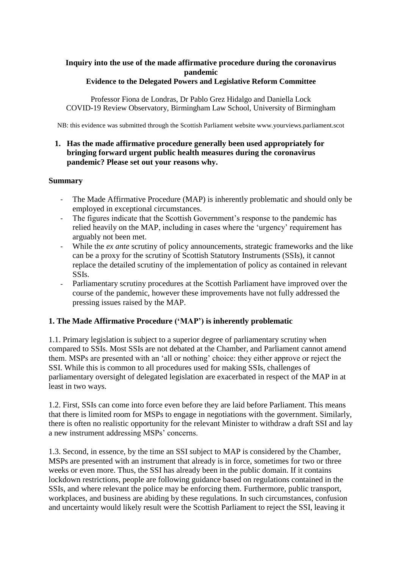# **Inquiry into the use of the made affirmative procedure during the coronavirus pandemic**

#### **Evidence to the Delegated Powers and Legislative Reform Committee**

Professor Fiona de Londras, Dr Pablo Grez Hidalgo and Daniella Lock COVID-19 Review Observatory, Birmingham Law School, University of Birmingham

NB: this evidence was submitted through the Scottish Parliament website www.yourviews.parliament.scot

## **1. Has the made affirmative procedure generally been used appropriately for bringing forward urgent public health measures during the coronavirus pandemic? Please set out your reasons why.**

## **Summary**

- The Made Affirmative Procedure (MAP) is inherently problematic and should only be employed in exceptional circumstances.
- The figures indicate that the Scottish Government's response to the pandemic has relied heavily on the MAP, including in cases where the 'urgency' requirement has arguably not been met.
- While the *ex ante* scrutiny of policy announcements, strategic frameworks and the like can be a proxy for the scrutiny of Scottish Statutory Instruments (SSIs), it cannot replace the detailed scrutiny of the implementation of policy as contained in relevant SSIs.
- Parliamentary scrutiny procedures at the Scottish Parliament have improved over the course of the pandemic, however these improvements have not fully addressed the pressing issues raised by the MAP.

## **1. The Made Affirmative Procedure ('MAP') is inherently problematic**

1.1. Primary legislation is subject to a superior degree of parliamentary scrutiny when compared to SSIs. Most SSIs are not debated at the Chamber, and Parliament cannot amend them. MSPs are presented with an 'all or nothing' choice: they either approve or reject the SSI. While this is common to all procedures used for making SSIs, challenges of parliamentary oversight of delegated legislation are exacerbated in respect of the MAP in at least in two ways.

1.2. First, SSIs can come into force even before they are laid before Parliament. This means that there is limited room for MSPs to engage in negotiations with the government. Similarly, there is often no realistic opportunity for the relevant Minister to withdraw a draft SSI and lay a new instrument addressing MSPs' concerns.

1.3. Second, in essence, by the time an SSI subject to MAP is considered by the Chamber, MSPs are presented with an instrument that already is in force, sometimes for two or three weeks or even more. Thus, the SSI has already been in the public domain. If it contains lockdown restrictions, people are following guidance based on regulations contained in the SSIs, and where relevant the police may be enforcing them. Furthermore, public transport, workplaces, and business are abiding by these regulations. In such circumstances, confusion and uncertainty would likely result were the Scottish Parliament to reject the SSI, leaving it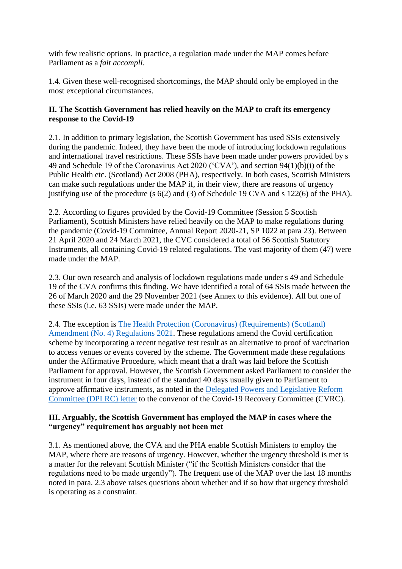with few realistic options. In practice, a regulation made under the MAP comes before Parliament as a *fait accompli*.

1.4. Given these well-recognised shortcomings, the MAP should only be employed in the most exceptional circumstances.

## **II. The Scottish Government has relied heavily on the MAP to craft its emergency response to the Covid-19**

2.1. In addition to primary legislation, the Scottish Government has used SSIs extensively during the pandemic. Indeed, they have been the mode of introducing lockdown regulations and international travel restrictions. These SSIs have been made under powers provided by s 49 and Schedule 19 of the Coronavirus Act 2020 ('CVA'), and section 94(1)(b)(i) of the Public Health etc. (Scotland) Act 2008 (PHA), respectively. In both cases, Scottish Ministers can make such regulations under the MAP if, in their view, there are reasons of urgency justifying use of the procedure (s 6(2) and (3) of Schedule 19 CVA and s 122(6) of the PHA).

2.2. According to figures provided by the Covid-19 Committee (Session 5 Scottish Parliament), Scottish Ministers have relied heavily on the MAP to make regulations during the pandemic (Covid-19 Committee, Annual Report 2020-21, SP 1022 at para 23). Between 21 April 2020 and 24 March 2021, the CVC considered a total of 56 Scottish Statutory Instruments, all containing Covid-19 related regulations. The vast majority of them (47) were made under the MAP.

2.3. Our own research and analysis of lockdown regulations made under s 49 and Schedule 19 of the CVA confirms this finding. We have identified a total of 64 SSIs made between the 26 of March 2020 and the 29 November 2021 (see Annex to this evidence). All but one of these SSIs (i.e. 63 SSIs) were made under the MAP.

2.4. The exception is [The Health Protection \(Coronavirus\) \(Requirements\) \(Scotland\)](https://www.legislation.gov.uk/ssi/2021/453/contents/made)  [Amendment \(No. 4\) Regulations 2021.](https://www.legislation.gov.uk/ssi/2021/453/contents/made) These regulations amend the Covid certification scheme by incorporating a recent negative test result as an alternative to proof of vaccination to access venues or events covered by the scheme. The Government made these regulations under the Affirmative Procedure, which meant that a draft was laid before the Scottish Parliament for approval. However, the Scottish Government asked Parliament to consider the instrument in four days, instead of the standard 40 days usually given to Parliament to approve affirmative instruments, as noted in the [Delegated Powers and Legislative Reform](https://www.parliament.scot/chamber-and-committees/committees/current-and-previous-committees/session-6-delegated-powers-and-law-reform-committee/correspondence/2021/health-protection-coronavirus-requirements-scotland-amendment-no-4-regulations-2021-ssi-2021-draft)  [Committee \(DPLRC\) letter](https://www.parliament.scot/chamber-and-committees/committees/current-and-previous-committees/session-6-delegated-powers-and-law-reform-committee/correspondence/2021/health-protection-coronavirus-requirements-scotland-amendment-no-4-regulations-2021-ssi-2021-draft) to the convenor of the Covid-19 Recovery Committee (CVRC).

#### **III. Arguably, the Scottish Government has employed the MAP in cases where the "urgency" requirement has arguably not been met**

3.1. As mentioned above, the CVA and the PHA enable Scottish Ministers to employ the MAP, where there are reasons of urgency. However, whether the urgency threshold is met is a matter for the relevant Scottish Minister ("if the Scottish Ministers consider that the regulations need to be made urgently"). The frequent use of the MAP over the last 18 months noted in para. 2.3 above raises questions about whether and if so how that urgency threshold is operating as a constraint.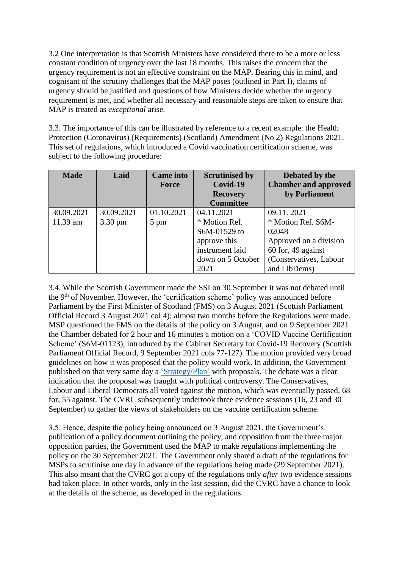3.2 One interpretation is that Scottish Ministers have considered there to be a more or less constant condition of urgency over the last 18 months. This raises the concern that the urgency requirement is not an effective constraint on the MAP. Bearing this in mind, and cognisant of the scrutiny challenges that the MAP poses (outlined in Part I), claims of urgency should be justified and questions of how Ministers decide whether the urgency requirement is met, and whether all necessary and reasonable steps are taken to ensure that MAP is treated as *exceptional* arise.

3.3. The importance of this can be illustrated by reference to a recent example: the Health Protection (Coronavirus) (Requirements) (Scotland) Amendment (No 2) Regulations 2021. This set of regulations, which introduced a Covid vaccination certification scheme, was subject to the following procedure:

| <b>Made</b> | Laid              | <b>Came</b> into<br><b>Force</b> | <b>Scrutinised by</b><br>Covid-19 | Debated by the<br><b>Chamber and approved</b> |
|-------------|-------------------|----------------------------------|-----------------------------------|-----------------------------------------------|
|             |                   |                                  | <b>Recovery</b>                   | by Parliament                                 |
|             |                   |                                  | <b>Committee</b>                  |                                               |
| 30.09.2021  | 30.09.2021        | 01.10.2021                       | 04.11.2021                        | 09.11.2021                                    |
| 11.39 am    | $3.30 \text{ pm}$ | 5 pm                             | * Motion Ref.                     | * Motion Ref. S6M-                            |
|             |                   |                                  | S6M-01529 to                      | 02048                                         |
|             |                   |                                  | approve this                      | Approved on a division                        |
|             |                   |                                  | instrument laid                   | 60 for, 49 against                            |
|             |                   |                                  | down on 5 October                 | (Conservatives, Labour                        |
|             |                   |                                  | 2021                              | and LibDems)                                  |

3.4. While the Scottish Government made the SSI on 30 September it was not debated until the 9th of November. However, the 'certification scheme' policy was announced before Parliament by the First Minister of Scotland (FMS) on 3 August 2021 (Scottish Parliament Official Record 3 August 2021 col 4); almost two months before the Regulations were made. MSP questioned the FMS on the details of the policy on 3 August, and on 9 September 2021 the Chamber debated for 2 hour and 16 minutes a motion on a 'COVID Vaccine Certification Scheme' (S6M-01123), introduced by the Cabinet Secretary for Covid-19 Recovery (Scottish Parliament Official Record, 9 September 2021 cols 77-127). The motion provided very broad guidelines on how it was proposed that the policy would work. In addition, the Government published on that very same day a ['Strategy/Plan'](https://www.gov.scot/publications/coronavirus-covid-19-mandatory-vaccine-certification/) with proposals. The debate was a clear indication that the proposal was fraught with political controversy. The Conservatives, Labour and Liberal Democrats all voted against the motion, which was eventually passed, 68 for, 55 against. The CVRC subsequently undertook three evidence sessions (16, 23 and 30 September) to gather the views of stakeholders on the vaccine certification scheme.

3.5. Hence, despite the policy being announced on 3 August 2021, the Government's publication of a policy document outlining the policy, and opposition from the three major opposition parties, the Government used the MAP to make regulations implementing the policy on the 30 September 2021. The Government only shared a draft of the regulations for MSPs to scrutinise one day in advance of the regulations being made (29 September 2021). This also meant that the CVRC got a copy of the regulations only *after* two evidence sessions had taken place. In other words, only in the last session, did the CVRC have a chance to look at the details of the scheme, as developed in the regulations.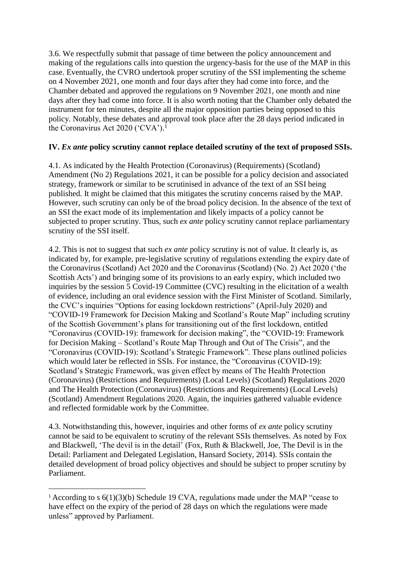3.6. We respectfully submit that passage of time between the policy announcement and making of the regulations calls into question the urgency-basis for the use of the MAP in this case. Eventually, the CVRO undertook proper scrutiny of the SSI implementing the scheme on 4 November 2021, one month and four days after they had come into force, and the Chamber debated and approved the regulations on 9 November 2021, one month and nine days after they had come into force. It is also worth noting that the Chamber only debated the instrument for ten minutes, despite all the major opposition parties being opposed to this policy. Notably, these debates and approval took place after the 28 days period indicated in the Coronavirus Act 2020 ('CVA').<sup>1</sup>

## **IV.** *Ex ante* **policy scrutiny cannot replace detailed scrutiny of the text of proposed SSIs.**

4.1. As indicated by the Health Protection (Coronavirus) (Requirements) (Scotland) Amendment (No 2) Regulations 2021, it can be possible for a policy decision and associated strategy, framework or similar to be scrutinised in advance of the text of an SSI being published. It might be claimed that this mitigates the scrutiny concerns raised by the MAP. However, such scrutiny can only be of the broad policy decision. In the absence of the text of an SSI the exact mode of its implementation and likely impacts of a policy cannot be subjected to proper scrutiny. Thus, such *ex ante* policy scrutiny cannot replace parliamentary scrutiny of the SSI itself.

4.2. This is not to suggest that such *ex ante* policy scrutiny is not of value. It clearly is, as indicated by, for example, pre-legislative scrutiny of regulations extending the expiry date of the Coronavirus (Scotland) Act 2020 and the Coronavirus (Scotland) (No. 2) Act 2020 ('the Scottish Acts') and bringing some of its provisions to an early expiry, which included two inquiries by the session 5 Covid-19 Committee (CVC) resulting in the elicitation of a wealth of evidence, including an oral evidence session with the First Minister of Scotland. Similarly, the CVC's inquiries "Options for easing lockdown restrictions" (April-July 2020) and "COVID-19 Framework for Decision Making and Scotland's Route Map" including scrutiny of the Scottish Government's plans for transitioning out of the first lockdown, entitled "Coronavirus (COVID-19): framework for decision making", the "COVID-19: Framework for Decision Making – Scotland's Route Map Through and Out of The Crisis", and the "Coronavirus (COVID-19): Scotland's Strategic Framework". These plans outlined policies which would later be reflected in SSIs. For instance, the "Coronavirus (COVID-19): Scotland's Strategic Framework, was given effect by means of The Health Protection (Coronavirus) (Restrictions and Requirements) (Local Levels) (Scotland) Regulations 2020 and The Health Protection (Coronavirus) (Restrictions and Requirements) (Local Levels) (Scotland) Amendment Regulations 2020. Again, the inquiries gathered valuable evidence and reflected formidable work by the Committee.

4.3. Notwithstanding this, however, inquiries and other forms of *ex ante* policy scrutiny cannot be said to be equivalent to scrutiny of the relevant SSIs themselves. As noted by Fox and Blackwell, 'The devil is in the detail' (Fox, Ruth & Blackwell, Joe, The Devil is in the Detail: Parliament and Delegated Legislation, Hansard Society, 2014). SSIs contain the detailed development of broad policy objectives and should be subject to proper scrutiny by Parliament.

**.** 

<sup>&</sup>lt;sup>1</sup> According to s  $6(1)(3)(b)$  Schedule 19 CVA, regulations made under the MAP "cease to have effect on the expiry of the period of 28 days on which the regulations were made unless" approved by Parliament.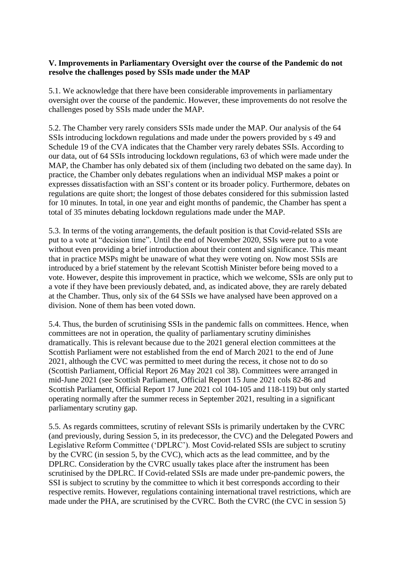#### **V. Improvements in Parliamentary Oversight over the course of the Pandemic do not resolve the challenges posed by SSIs made under the MAP**

5.1. We acknowledge that there have been considerable improvements in parliamentary oversight over the course of the pandemic. However, these improvements do not resolve the challenges posed by SSIs made under the MAP.

5.2. The Chamber very rarely considers SSIs made under the MAP. Our analysis of the 64 SSIs introducing lockdown regulations and made under the powers provided by s 49 and Schedule 19 of the CVA indicates that the Chamber very rarely debates SSIs. According to our data, out of 64 SSIs introducing lockdown regulations, 63 of which were made under the MAP, the Chamber has only debated six of them (including two debated on the same day). In practice, the Chamber only debates regulations when an individual MSP makes a point or expresses dissatisfaction with an SSI's content or its broader policy. Furthermore, debates on regulations are quite short; the longest of those debates considered for this submission lasted for 10 minutes. In total, in one year and eight months of pandemic, the Chamber has spent a total of 35 minutes debating lockdown regulations made under the MAP.

5.3. In terms of the voting arrangements, the default position is that Covid-related SSIs are put to a vote at "decision time". Until the end of November 2020, SSIs were put to a vote without even providing a brief introduction about their content and significance. This meant that in practice MSPs might be unaware of what they were voting on. Now most SSIs are introduced by a brief statement by the relevant Scottish Minister before being moved to a vote. However, despite this improvement in practice, which we welcome, SSIs are only put to a vote if they have been previously debated, and, as indicated above, they are rarely debated at the Chamber. Thus, only six of the 64 SSIs we have analysed have been approved on a division. None of them has been voted down.

5.4. Thus, the burden of scrutinising SSIs in the pandemic falls on committees. Hence, when committees are not in operation, the quality of parliamentary scrutiny diminishes dramatically. This is relevant because due to the 2021 general election committees at the Scottish Parliament were not established from the end of March 2021 to the end of June 2021, although the CVC was permitted to meet during the recess, it chose not to do so (Scottish Parliament, Official Report 26 May 2021 col 38). Committees were arranged in mid-June 2021 (see Scottish Parliament, Official Report 15 June 2021 cols 82-86 and Scottish Parliament, Official Report 17 June 2021 col 104-105 and 118-119) but only started operating normally after the summer recess in September 2021, resulting in a significant parliamentary scrutiny gap.

5.5. As regards committees, scrutiny of relevant SSIs is primarily undertaken by the CVRC (and previously, during Session 5, in its predecessor, the CVC) and the Delegated Powers and Legislative Reform Committee ('DPLRC'). Most Covid-related SSIs are subject to scrutiny by the CVRC (in session 5, by the CVC), which acts as the lead committee, and by the DPLRC. Consideration by the CVRC usually takes place after the instrument has been scrutinised by the DPLRC. If Covid-related SSIs are made under pre-pandemic powers, the SSI is subject to scrutiny by the committee to which it best corresponds according to their respective remits. However, regulations containing international travel restrictions, which are made under the PHA, are scrutinised by the CVRC. Both the CVRC (the CVC in session 5)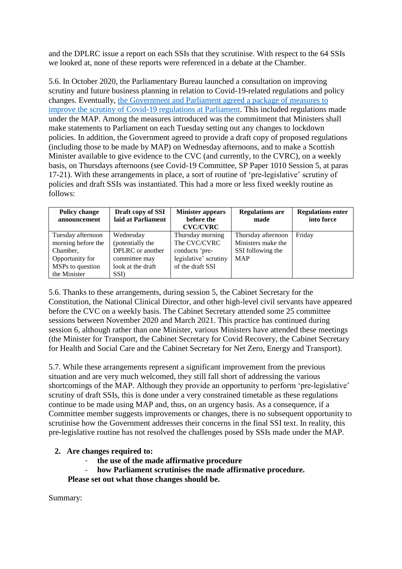and the DPLRC issue a report on each SSIs that they scrutinise. With respect to the 64 SSIs we looked at, none of these reports were referenced in a debate at the Chamber.

5.6. In October 2020, the Parliamentary Bureau launched a consultation on improving scrutiny and future business planning in relation to Covid-19-related regulations and policy changes. Eventually, [the Government and Parliament agreed a package of measures](https://archive2021.parliament.scot/S5_BusinessTeam/Bureau_PDF_-_17_November_2020.pdf) to [improve the scrutiny of Covid-19 regulations at Parliament.](https://archive2021.parliament.scot/S5_BusinessTeam/Bureau_PDF_-_17_November_2020.pdf) This included regulations made under the MAP. Among the measures introduced was the commitment that Ministers shall make statements to Parliament on each Tuesday setting out any changes to lockdown policies. In addition, the Government agreed to provide a draft copy of proposed regulations (including those to be made by MAP) on Wednesday afternoons, and to make a Scottish Minister available to give evidence to the CVC (and currently, to the CVRC), on a weekly basis, on Thursdays afternoons (see Covid-19 Committee, SP Paper 1010 Session 5, at paras 17-21). With these arrangements in place, a sort of routine of 'pre-legislative' scrutiny of policies and draft SSIs was instantiated. This had a more or less fixed weekly routine as follows:

| <b>Policy change</b><br>announcement | Draft copy of SSI<br>laid at Parliament | <b>Minister appears</b><br>before the<br><b>CVC/CVRC</b> | <b>Regulations are</b><br>made | <b>Regulations enter</b><br>into force |
|--------------------------------------|-----------------------------------------|----------------------------------------------------------|--------------------------------|----------------------------------------|
| Tuesday afternoon                    | Wednesday                               | Thursday morning                                         | Thursday afternoon             | Friday                                 |
| morning before the                   | (potentially the                        | The CVC/CVRC                                             | Ministers make the             |                                        |
| Chamber,                             | DPLRC or another                        | conducts 'pre-                                           | SSI following the              |                                        |
| Opportunity for                      | committee may                           | legislative' scrutiny                                    | <b>MAP</b>                     |                                        |
| MSPs to question                     | look at the draft                       | of the draft SSI                                         |                                |                                        |
| the Minister                         | SSI)                                    |                                                          |                                |                                        |

5.6. Thanks to these arrangements, during session 5, the Cabinet Secretary for the Constitution, the National Clinical Director, and other high-level civil servants have appeared before the CVC on a weekly basis. The Cabinet Secretary attended some 25 committee sessions between November 2020 and March 2021. This practice has continued during session 6, although rather than one Minister, various Ministers have attended these meetings (the Minister for Transport, the Cabinet Secretary for Covid Recovery, the Cabinet Secretary for Health and Social Care and the Cabinet Secretary for Net Zero, Energy and Transport).

5.7. While these arrangements represent a significant improvement from the previous situation and are very much welcomed, they still fall short of addressing the various shortcomings of the MAP. Although they provide an opportunity to perform 'pre-legislative' scrutiny of draft SSIs, this is done under a very constrained timetable as these regulations continue to be made using MAP and, thus, on an urgency basis. As a consequence, if a Committee member suggests improvements or changes, there is no subsequent opportunity to scrutinise how the Government addresses their concerns in the final SSI text. In reality, this pre-legislative routine has not resolved the challenges posed by SSIs made under the MAP.

## **2. Are changes required to:**

- **the use of the made affirmative procedure**
- **how Parliament scrutinises the made affirmative procedure.**

**Please set out what those changes should be.**

Summary: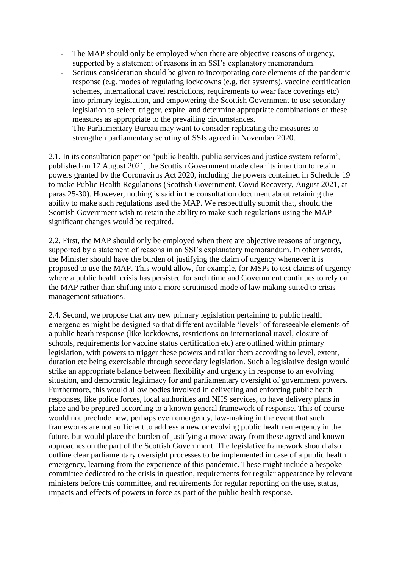- The MAP should only be employed when there are objective reasons of urgency, supported by a statement of reasons in an SSI's explanatory memorandum.
- Serious consideration should be given to incorporating core elements of the pandemic response (e.g. modes of regulating lockdowns (e.g. tier systems), vaccine certification schemes, international travel restrictions, requirements to wear face coverings etc) into primary legislation, and empowering the Scottish Government to use secondary legislation to select, trigger, expire, and determine appropriate combinations of these measures as appropriate to the prevailing circumstances.
- The Parliamentary Bureau may want to consider replicating the measures to strengthen parliamentary scrutiny of SSIs agreed in November 2020.

2.1. In its consultation paper on 'public health, public services and justice system reform', published on 17 August 2021, the Scottish Government made clear its intention to retain powers granted by the Coronavirus Act 2020, including the powers contained in Schedule 19 to make Public Health Regulations (Scottish Government, Covid Recovery, August 2021, at paras 25-30). However, nothing is said in the consultation document about retaining the ability to make such regulations used the MAP. We respectfully submit that, should the Scottish Government wish to retain the ability to make such regulations using the MAP significant changes would be required.

2.2. First, the MAP should only be employed when there are objective reasons of urgency, supported by a statement of reasons in an SSI's explanatory memorandum. In other words, the Minister should have the burden of justifying the claim of urgency whenever it is proposed to use the MAP. This would allow, for example, for MSPs to test claims of urgency where a public health crisis has persisted for such time and Government continues to rely on the MAP rather than shifting into a more scrutinised mode of law making suited to crisis management situations.

2.4. Second, we propose that any new primary legislation pertaining to public health emergencies might be designed so that different available 'levels' of foreseeable elements of a public heath response (like lockdowns, restrictions on international travel, closure of schools, requirements for vaccine status certification etc) are outlined within primary legislation, with powers to trigger these powers and tailor them according to level, extent, duration etc being exercisable through secondary legislation. Such a legislative design would strike an appropriate balance between flexibility and urgency in response to an evolving situation, and democratic legitimacy for and parliamentary oversight of government powers. Furthermore, this would allow bodies involved in delivering and enforcing public heath responses, like police forces, local authorities and NHS services, to have delivery plans in place and be prepared according to a known general framework of response. This of course would not preclude new, perhaps even emergency, law-making in the event that such frameworks are not sufficient to address a new or evolving public health emergency in the future, but would place the burden of justifying a move away from these agreed and known approaches on the part of the Scottish Government. The legislative framework should also outline clear parliamentary oversight processes to be implemented in case of a public health emergency, learning from the experience of this pandemic. These might include a bespoke committee dedicated to the crisis in question, requirements for regular appearance by relevant ministers before this committee, and requirements for regular reporting on the use, status, impacts and effects of powers in force as part of the public health response.